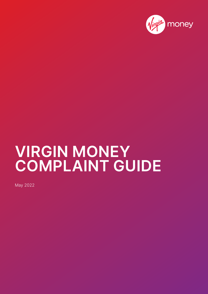

# **VIRGIN MONEY COMPLAINT GUIDE**

May 2022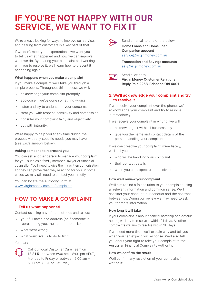# **IF YOU'RE NOT HAPPY WITH OUR SERVICE, WE WANT TO FIX IT**

We're always looking for ways to improve our service, and hearing from customers is a key part of that.

If we don't meet your expectations, we want you to tell us what happened and how we can improve what we do. By hearing your complaint and working with you to resolve it, we'll learn how to prevent it happening again.

#### **What happens when you make a complaint**

If you make a complaint we'll take you through a simple process. Throughout this process we will:

- acknowledge your complaint promptly
- apologise if we've done something wrong
- listen and try to understand your concerns
- treat you with respect, sensitivity and compassion
- consider your complaint fairly and objectively
- act with integrity.

We're happy to help you at any time during the process with any specific needs you may have (see *Extra support* below).

#### **Asking someone to represent you**

You can ask another person to manage your complaint for you, such as a family member, lawyer or financial counsellor. You'll need to give them a written authorisation so they can prove that they're acting for you. In some cases we may still need to contact you directly.

You can locate the Authority Form at [www.virginmoney.com.au/complaints](http://www.virginmoney.com.au/complaints).

### **HOW TO MAKE A COMPLAINT**

#### **1. Tell us what happened**

Contact us using any of the methods and tell us:

- your full name and address (or if someone is representing you, their contact details)
- what went wrong
- what you'd like us to do to fix it.

You can:



Call our local Customer Care Team on **13 81 51** between 8:00 am – 8:00 pm AEST, Monday to Friday or between 9:00 am – 5:00 pm AEST on Saturday.



Send an email to one of the below: **Home Loans and Home Loan** 

**Companion account** [service@virginmoney.com.au](mailto:service%40virginmoney.com.au?subject=)

**Transaction and Savings accounts** [ask@virginmoney.com.au](mailto:ask%40virginmoney.com.au?subject=)

 $\overline{\mathsf{L}}$  of

Send a letter to **Virgin Money Customer Relations Reply Paid 2258, Brisbane Qld 4001**

#### **2. We'll acknowledge your complaint and try to resolve it**

If we receive your complaint over the phone, we'll acknowledge your complaint and try to resolve it immediately.

If we receive your complaint in writing, we will:

- acknowledge it within 1 business day
- give you the name and contact details of the person handling your complaint.

If we can't resolve your complaint immediately, we'll tell you:

- who will be handling your complaint
- their contact details
- when you can expect us to resolve it.

#### **How we'll review your complaint**

We'll aim to find a fair solution to your complaint using all relevant information and common sense. We'll consider your conduct, our conduct and the contract between us. During our review we may need to ask you for more information.

#### **How long it will take**

If your complaint is about financial hardship or a default notice, we'll try to resolve it within 21 days. All other complaints we aim to resolve within 30 days.

If we need more time, we'll explain why and tell you when you can expect our response. We'll also tell you about your right to take your complaint to the Australian Financial Complaints Authority.

#### **How we confirm the result**

We'll confirm any resolution of your complaint in writing if: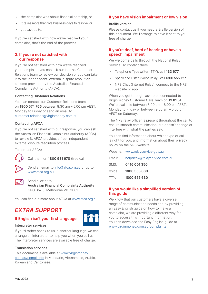- the complaint was about financial hardship, or
- it takes more than five business days to resolve, or
- you ask us to.

If you're satisfied with how we've resolved your complaint, that's the end of the process.

#### **3. If you're not satisfied with our response**

If you're not satisfied with how we've resolved your complaint, you can ask our internal Customer Relations team to review our decision or you can take it to the independent, external dispute resolution scheme provided by the Australian Financial Complaints Authority (AFCA).

#### **Contacting Customer Relations**

You can contact our Customer Relations team on **1800 574 766** between 8:30 am – 5:00 pm AEST, Monday to Friday or send an email to [customer.relations@virginmoney.com.au](mailto:customer.relations%40virginmoney.com.au?subject=).

#### **Contacting AFCA**

If you're not satisfied with our response, you can ask the Australian Financial Complaints Authority (AFCA) to review it. AFCA provides a free, independent external dispute resolution process.

To contact AFCA:



Call them on **1800 931 678** (free call)

Send an email to [info@afca.org.au](mailto:info%40afca.org.au?subject=) or go to [www.afca.org.au](http://www.afca.org.au)

#### Send a letter to

**Australian Financial Complaints Authority** GPO Box 3, Melbourne VIC 3001

You can find out more about AFCA at [www.afca.org.au](http://www.afca.org.au)

## *EXTRA SUPPORT*

#### **If English isn't your first language**



#### **Interpreter services**

If you'd rather speak to us in another language we can arrange an interpreter to help you when you call us. The interpreter services are available free of charge.

#### **Translation services**

This document is available at [www.virginmoney.](http://www.virginmoney.com.au/complaints) [com.au/complaints](http://www.virginmoney.com.au/complaints) in Mandarin, Vietnamese, Arabic, Korean and Cantonese.

#### **If you have vision impairment or low vision**

#### **Braille version**

Please contact us if you need a Braille version of this document. We'll arrange to have it sent to you free of charge.

#### **If you're deaf, hard of hearing or have a speech impairment**

We welcome calls through the National Relay Service. To contact them:

- Telephone Typewriter (TTY), call **133 677**
- Speak and Listen (Voice Relay), call **1300 555 727**
- NRS Chat (Internet Relay), connect to the NRS website or app.

When you get through, ask to be connected to Virgin Money Customer Care Team on **13 81 51**. We're available between 8:00 am – 8:00 pm AEST, Monday to Friday or between 9:00 am – 5:00 pm AEST on Saturday.

The NRS relay officer is present throughout the call to ensure smooth communication, but doesn't change or interfere with what the parties say.

You can find information about which type of call is right for you, and information about their privacy policy on the NRS website:

|        | Website: www.relayservice.gov.au |
|--------|----------------------------------|
| Email: | helpdesk@relayservice.com.au     |
| SMS:   | 0416 001 350                     |
| Voice: | 1800 555 660                     |
| TTY:   | 1800 555 630                     |

#### **If you would like a simplified version of this guide**

We know that our customers have a diverse range of communication needs and by providing an Easy English guide on how to make a complaint, we are providing a different way for you to access this important information. You can download the Easy English guide at [www.virginmoney.com.au/complaints](http://www.virginmoney.com.au/complaints).